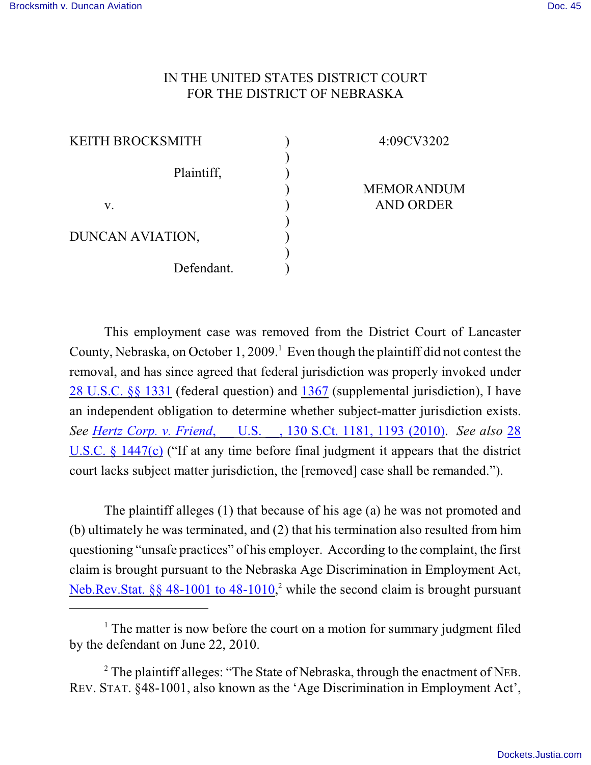## IN THE UNITED STATES DISTRICT COURT FOR THE DISTRICT OF NEBRASKA

) ) ) ) ) ) ) ) )

| KEITH BROCKSMITH |            |  |
|------------------|------------|--|
|                  | Plaintiff, |  |
| V.               |            |  |
| DUNCAN AVIATION, |            |  |
|                  | Defendant. |  |

4:09CV3202

MEMORANDUM AND ORDER

This employment case was removed from the District Court of Lancaster County, Nebraska, on October 1, 2009.<sup>1</sup> Even though the plaintiff did not contest the removal, and has since agreed that federal jurisdiction was properly invoked under [28 U.S.C. §§ 1331](https://web2.westlaw.com/find/default.wl?rs=WLW10.08&ifm=NotSet&fn=_top&sv=Split&cite=28usc1331&vr=2.0&rp=%2ffind%2fdefault.wl&mt=Westlaw) (federal question) and [1367](https://web2.westlaw.com/find/default.wl?rs=WLW10.08&ifm=NotSet&fn=_top&sv=Split&cite=28usc1367&vr=2.0&rp=%2ffind%2fdefault.wl&mt=Westlaw) (supplemental jurisdiction), I have an independent obligation to determine whether subject-matter jurisdiction exists. *See Hertz Corp. v. Friend*[, \\_\\_ U.S. \\_\\_, 130 S.Ct. 1181, 1193 \(2010\)](https://web2.westlaw.com/find/default.wl?rs=WLW10.08&ifm=NotSet&fn=_top&sv=Split&cite=130sct1193&vr=2.0&rp=%2ffind%2fdefault.wl&mt=Westlaw). *See also* [28](https://web2.westlaw.com/find/default.wl?rs=WLW10.08&ifm=NotSet&fn=_top&sv=Split&cite=28usc1447&vr=2.0&rp=%2ffind%2fdefault.wl&mt=Westlaw) [U.S.C. § 1447\(c\)](https://web2.westlaw.com/find/default.wl?rs=WLW10.08&ifm=NotSet&fn=_top&sv=Split&cite=28usc1447&vr=2.0&rp=%2ffind%2fdefault.wl&mt=Westlaw) ("If at any time before final judgment it appears that the district court lacks subject matter jurisdiction, the [removed] case shall be remanded.").

The plaintiff alleges (1) that because of his age (a) he was not promoted and (b) ultimately he was terminated, and (2) that his termination also resulted from him questioning "unsafe practices" of his employer. According to the complaint, the first claim is brought pursuant to the Nebraska Age Discrimination in Employment Act, Neb.Rev.Stat.  $\S$  48-1001 to 48-1010,<sup>2</sup> while the second claim is brought pursuant

 $1$ . The matter is now before the court on a motion for summary judgment filed by the defendant on June 22, 2010.

<sup>&</sup>lt;sup>2</sup> The plaintiff alleges: "The State of Nebraska, through the enactment of NEB. REV. STAT. §48-1001, also known as the 'Age Discrimination in Employment Act',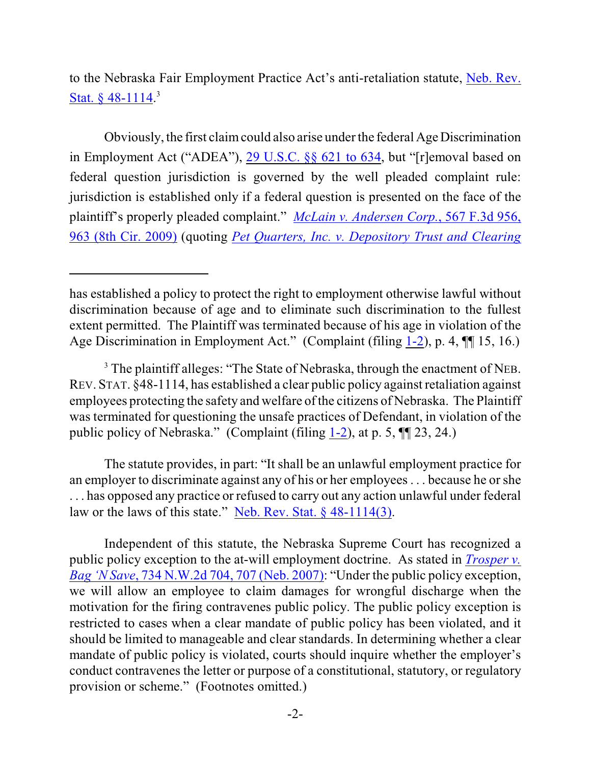to the Nebraska Fair Employment Practice Act's anti-retaliation statute, [Neb. Rev.](https://web2.westlaw.com/find/default.wl?rs=WLW10.08&ifm=NotSet&fn=_top&sv=Split&cite=nestat+48-1114&vr=2.0&rp=%2ffind%2fdefault.wl&mt=Westlaw) Stat.  $§$  48-1114.<sup>3</sup>

Obviously, the first claim could also arise under the federal Age Discrimination in Employment Act ("ADEA"), [29 U.S.C. §§ 621](http://web2.westlaw.com/find/default.wl?ifm=NotSet&rp=%2ffind%2fdefault.wl&sv=Split&rs=WLW9.09&cite=29usc621&fn=_top&mt=Westlaw&vr=2.0) to 634, but "[r]emoval based on federal question jurisdiction is governed by the well pleaded complaint rule: jurisdiction is established only if a federal question is presented on the face of the plaintiff's properly pleaded complaint." *[McLain v. Andersen Corp.](https://web2.westlaw.com/find/default.wl?rs=WLW10.08&ifm=NotSet&fn=_top&sv=Split&cite=567f3d963&vr=2.0&rp=%2ffind%2fdefault.wl&mt=Westlaw)*, 567 F.3d 956, [963 \(8th Cir. 2009\)](https://web2.westlaw.com/find/default.wl?rs=WLW10.08&ifm=NotSet&fn=_top&sv=Split&cite=567f3d963&vr=2.0&rp=%2ffind%2fdefault.wl&mt=Westlaw) (quoting *Pet Quarters, Inc. v. [Depository Trust](https://web2.westlaw.com/find/default.wl?tf=-1&rs=WLW10.08&referencepositiontype=S&serialnum=2018292089&fn=_top&sv=Split&referenceposition=779&pbc=06C0817C&tc=-1&ordoc=2018961950&findtype=Y&db=506&vr=2.0&rp=%2ffind%2fdefault.wl&mt=Westlaw) and Clearing*

The statute provides, in part: "It shall be an unlawful employment practice for an employer to discriminate against any of his or her employees . . . because he or she . . . has opposed any practice or refused to carry out any action unlawful under federal law or the laws of this state." [Neb. Rev. Stat. § 48-1114\(3\)](https://web2.westlaw.com/find/default.wl?rs=WLW10.08&ifm=NotSet&fn=_top&sv=Split&cite=nestat48-1114&vr=2.0&rp=%2ffind%2fdefault.wl&mt=Westlaw).

Independent of this statute, the Nebraska Supreme Court has recognized a public policy exception to the at-will employment doctrine. As stated in *[Trosper v.](https://web2.westlaw.com/find/default.wl?rs=WLW10.06&ifm=NotSet&fn=_top&sv=Split&cite=734nw2d707&vr=2.0&rp=%2ffind%2fdefault.wl&mt=Westlaw) Bag 'N Save*, [734 N.W.2d 704, 707 \(Neb. 2007\)](https://web2.westlaw.com/find/default.wl?rs=WLW10.06&ifm=NotSet&fn=_top&sv=Split&cite=734nw2d707&vr=2.0&rp=%2ffind%2fdefault.wl&mt=Westlaw): "Under the public policy exception, we will allow an employee to claim damages for wrongful discharge when the motivation for the firing contravenes public policy. The public policy exception is restricted to cases when a clear mandate of public policy has been violated, and it should be limited to manageable and clear standards. In determining whether a clear mandate of public policy is violated, courts should inquire whether the employer's conduct contravenes the letter or purpose of a constitutional, statutory, or regulatory provision or scheme." (Footnotes omitted.)

has established a policy to protect the right to employment otherwise lawful without discrimination because of age and to eliminate such discrimination to the fullest extent permitted. The Plaintiff was terminated because of his age in violation of the Age Discrimination in Employment Act." (Complaint (filing [1-2](https://ecf.ned.uscourts.gov/doc1/11311846097)), p. 4, ¶¶ 15, 16.)

 $3$  The plaintiff alleges: "The State of Nebraska, through the enactment of NEB. REV. STAT. §48-1114, has established a clear public policy against retaliation against employees protecting the safety and welfare of the citizens of Nebraska. The Plaintiff was terminated for questioning the unsafe practices of Defendant, in violation of the public policy of Nebraska." (Complaint (filing [1-2](https://ecf.ned.uscourts.gov/doc1/11311846097)), at p. 5, ¶¶ 23, 24.)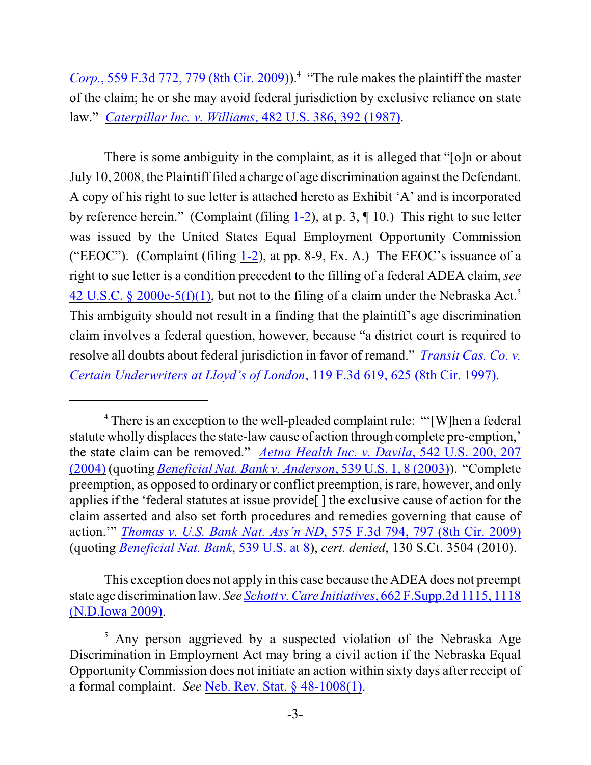*Corp.*, 559 F.3d 772, 779 (8th Cir. 2009)).<sup>4</sup> "The rule makes the plaintiff the master of the claim; he or she may avoid federal jurisdiction by exclusive reliance on state law." *[Caterpillar Inc. v. Williams](https://web2.westlaw.com/find/default.wl?rs=WLW10.08&ifm=NotSet&fn=_top&sv=Split&cite=482us392&vr=2.0&rp=%2ffind%2fdefault.wl&mt=Westlaw)*, 482 U.S. 386, 392 (1987).

There is some ambiguity in the complaint, as it is alleged that "[o]n or about July 10, 2008, the Plaintiff filed a charge of age discrimination against the Defendant. A copy of his right to sue letter is attached hereto as Exhibit 'A' and is incorporated by reference herein." (Complaint (filing  $1-2$ ), at p. 3,  $\P$  10.) This right to sue letter was issued by the United States Equal Employment Opportunity Commission ("EEOC"). (Complaint (filing [1-2](https://ecf.ned.uscourts.gov/doc1/11311846097)), at pp. 8-9, Ex. A.) The EEOC's issuance of a right to sue letter is a condition precedent to the filling of a federal ADEA claim, *see*  $42$  U.S.C. § 2000e-5(f)(1), but not to the filing of a claim under the Nebraska Act.<sup>5</sup> This ambiguity should not result in a finding that the plaintiff's age discrimination claim involves a federal question, however, because "a district court is required to resolve all doubts about federal jurisdiction in favor of remand." *[Transit Cas. Co. v.](https://web2.westlaw.com/find/default.wl?rs=WLW10.08&ifm=NotSet&fn=_top&sv=Split&cite=119f3d619&vr=2.0&rp=%2ffind%2fdefault.wl&mt=Westlaw) [Certain Underwriters at Lloyd's of London](https://web2.westlaw.com/find/default.wl?rs=WLW10.08&ifm=NotSet&fn=_top&sv=Split&cite=119f3d619&vr=2.0&rp=%2ffind%2fdefault.wl&mt=Westlaw)*, 119 F.3d 619, 625 (8th Cir. 1997).

This exception does not apply in this case because the ADEA does not preempt state age discrimination law. *See Schott v. Care Initiatives*, [662 F.Supp.2d 1115, 1118](https://web2.westlaw.com/find/default.wl?rs=WLW10.08&ifm=NotSet&fn=_top&sv=Split&cite=662fs2d1118&vr=2.0&rp=%2ffind%2fdefault.wl&mt=Westlaw) [\(N.D.Iowa 2009\)](https://web2.westlaw.com/find/default.wl?rs=WLW10.08&ifm=NotSet&fn=_top&sv=Split&cite=662fs2d1118&vr=2.0&rp=%2ffind%2fdefault.wl&mt=Westlaw).

<sup>&</sup>lt;sup>4</sup> There is an exception to the well-pleaded complaint rule: "'[W]hen a federal statute wholly displaces the state-law cause of action through complete pre-emption,' the state claim can be removed." *[Aetna Health Inc. v. Davila](https://web2.westlaw.com/find/default.wl?rs=WLW10.08&ifm=NotSet&fn=_top&sv=Split&cite=542us207&vr=2.0&rp=%2ffind%2fdefault.wl&mt=Westlaw)*, 542 U.S. 200, 207 [\(2004\)](https://web2.westlaw.com/find/default.wl?rs=WLW10.08&ifm=NotSet&fn=_top&sv=Split&cite=542us207&vr=2.0&rp=%2ffind%2fdefault.wl&mt=Westlaw) (quoting *[Beneficial Nat. Bank v. Anderson](https://web2.westlaw.com/find/default.wl?tf=-1&rs=WLW10.08&serialnum=2003391166&fn=_top&sv=Split&tc=-1&pbc=0E748F5E&ordoc=2004610956&findtype=Y&db=708&vr=2.0&rp=%2ffind%2fdefault.wl&mt=Westlaw)*, 539 U.S. 1, 8 (2003)). "Complete preemption, as opposed to ordinary or conflict preemption, is rare, however, and only applies if the 'federal statutes at issue provide[ ] the exclusive cause of action for the claim asserted and also set forth procedures and remedies governing that cause of action.'" *[Thomas v. U.S. Bank Nat. Ass'n ND](https://web2.westlaw.com/find/default.wl?rs=WLW10.08&ifm=NotSet&fn=_top&sv=Split&cite=575f3d797&vr=2.0&rp=%2ffind%2fdefault.wl&mt=Westlaw)*, 575 F.3d 794, 797 (8th Cir. 2009) (quoting *[Beneficial Nat. Bank](https://web2.westlaw.com/find/default.wl?tf=-1&rs=WLW10.08&serialnum=2003391166&fn=_top&sv=Split&tc=-1&pbc=70BE80CB&ordoc=2019558116&findtype=Y&db=708&vr=2.0&rp=%2ffind%2fdefault.wl&mt=Westlaw)*, 539 U.S. at 8), *cert. denied*, 130 S.Ct. 3504 (2010).

<sup>&</sup>lt;sup>5</sup> Any person aggrieved by a suspected violation of the Nebraska Age Discrimination in Employment Act may bring a civil action if the Nebraska Equal Opportunity Commission does not initiate an action within sixty days after receipt of a formal complaint. *See* [Neb. Rev. Stat. § 48-1008\(1\)](https://web2.westlaw.com/find/default.wl?rs=WLW10.08&ifm=NotSet&fn=_top&sv=Split&cite=nestat+48-1008&vr=2.0&rp=%2ffind%2fdefault.wl&mt=Westlaw).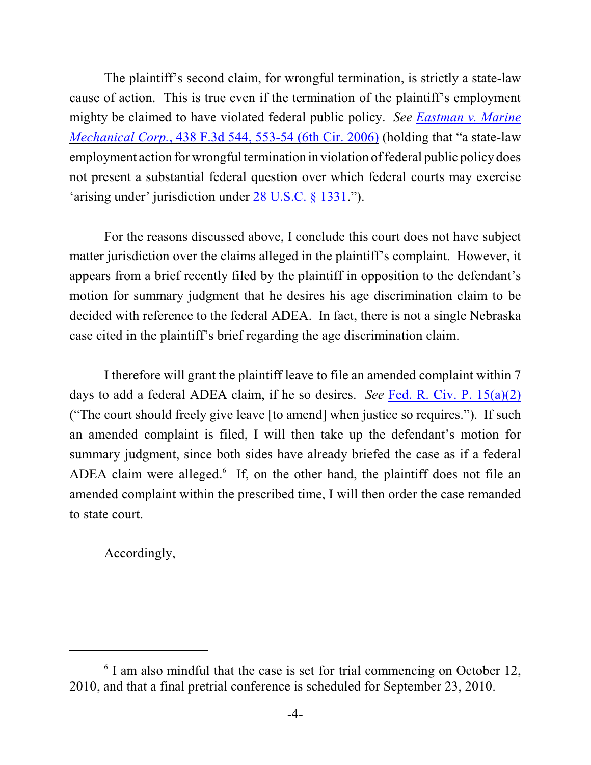The plaintiff's second claim, for wrongful termination, is strictly a state-law cause of action. This is true even if the termination of the plaintiff's employment mighty be claimed to have violated federal public policy. *See [Eastman v. Marine](https://web2.westlaw.com/find/default.wl?rs=WLW10.06&ifm=NotSet&fn=_top&sv=Split&cite=438f3d553&vr=2.0&rp=%2ffind%2fdefault.wl&mt=Westlaw) Mechanical Corp.*[, 438 F.3d 544, 553-54 \(6th Cir. 2006\)](https://web2.westlaw.com/find/default.wl?rs=WLW10.06&ifm=NotSet&fn=_top&sv=Split&cite=438f3d553&vr=2.0&rp=%2ffind%2fdefault.wl&mt=Westlaw) (holding that "a state-law employment action for wrongful termination in violation of federal public policy does not present a substantial federal question over which federal courts may exercise 'arising under' jurisdiction under [28 U.S.C. § 1331](https://web2.westlaw.com/find/default.wl?tf=-1&rs=WLW10.06&fn=_top&sv=Split&docname=28USCAS1331&tc=-1&pbc=4A85B595&ordoc=2008418245&findtype=L&db=1000546&vr=2.0&rp=%2ffind%2fdefault.wl&mt=Westlaw).").

For the reasons discussed above, I conclude this court does not have subject matter jurisdiction over the claims alleged in the plaintiff's complaint. However, it appears from a brief recently filed by the plaintiff in opposition to the defendant's motion for summary judgment that he desires his age discrimination claim to be decided with reference to the federal ADEA. In fact, there is not a single Nebraska case cited in the plaintiff's brief regarding the age discrimination claim.

I therefore will grant the plaintiff leave to file an amended complaint within 7 days to add a federal ADEA claim, if he so desires. *See* Fed. R. [Civ. P. 15\(a\)\(2\)](https://web2.westlaw.com/find/default.wl?rs=WLW10.08&ifm=NotSet&fn=_top&sv=Split&cite=frcivp15&vr=2.0&rp=%2ffind%2fdefault.wl&mt=Westlaw) ("The court should freely give leave [to amend] when justice so requires."). If such an amended complaint is filed, I will then take up the defendant's motion for summary judgment, since both sides have already briefed the case as if a federal ADEA claim were alleged. $\delta$  If, on the other hand, the plaintiff does not file an amended complaint within the prescribed time, I will then order the case remanded to state court.

Accordingly,

 $\delta$  I am also mindful that the case is set for trial commencing on October 12, 2010, and that a final pretrial conference is scheduled for September 23, 2010.